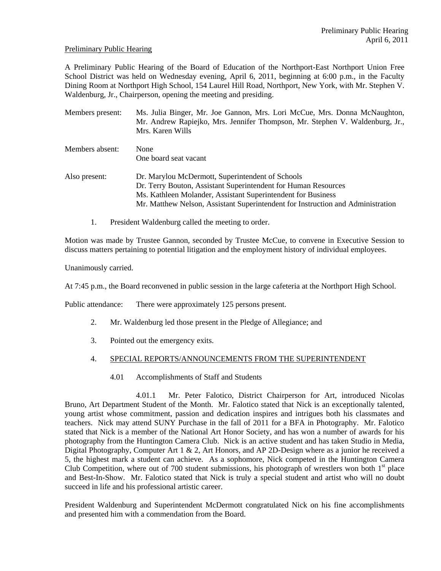#### Preliminary Public Hearing

A Preliminary Public Hearing of the Board of Education of the Northport-East Northport Union Free School District was held on Wednesday evening, April 6, 2011, beginning at 6:00 p.m., in the Faculty Dining Room at Northport High School, 154 Laurel Hill Road, Northport, New York, with Mr. Stephen V. Waldenburg, Jr., Chairperson, opening the meeting and presiding.

| Members present: | Ms. Julia Binger, Mr. Joe Gannon, Mrs. Lori McCue, Mrs. Donna McNaughton,<br>Mr. Andrew Rapiejko, Mrs. Jennifer Thompson, Mr. Stephen V. Waldenburg, Jr.,<br>Mrs. Karen Wills                                                                                         |
|------------------|-----------------------------------------------------------------------------------------------------------------------------------------------------------------------------------------------------------------------------------------------------------------------|
| Members absent:  | None<br>One board seat vacant                                                                                                                                                                                                                                         |
| Also present:    | Dr. Marylou McDermott, Superintendent of Schools<br>Dr. Terry Bouton, Assistant Superintendent for Human Resources<br>Ms. Kathleen Molander, Assistant Superintendent for Business<br>Mr. Matthew Nelson, Assistant Superintendent for Instruction and Administration |

1. President Waldenburg called the meeting to order.

Motion was made by Trustee Gannon, seconded by Trustee McCue, to convene in Executive Session to discuss matters pertaining to potential litigation and the employment history of individual employees.

Unanimously carried.

At 7:45 p.m., the Board reconvened in public session in the large cafeteria at the Northport High School.

Public attendance: There were approximately 125 persons present.

- 2. Mr. Waldenburg led those present in the Pledge of Allegiance; and
- 3. Pointed out the emergency exits.

#### 4. SPECIAL REPORTS/ANNOUNCEMENTS FROM THE SUPERINTENDENT

4.01 Accomplishments of Staff and Students

 4.01.1 Mr. Peter Falotico, District Chairperson for Art, introduced Nicolas Bruno, Art Department Student of the Month. Mr. Falotico stated that Nick is an exceptionally talented, young artist whose commitment, passion and dedication inspires and intrigues both his classmates and teachers. Nick may attend SUNY Purchase in the fall of 2011 for a BFA in Photography. Mr. Falotico stated that Nick is a member of the National Art Honor Society, and has won a number of awards for his photography from the Huntington Camera Club. Nick is an active student and has taken Studio in Media, Digital Photography, Computer Art  $1 \& 2$ , Art Honors, and AP 2D-Design where as a junior he received a 5, the highest mark a student can achieve. As a sophomore, Nick competed in the Huntington Camera Club Competition, where out of 700 student submissions, his photograph of wrestlers won both  $1<sup>st</sup>$  place and Best-In-Show. Mr. Falotico stated that Nick is truly a special student and artist who will no doubt succeed in life and his professional artistic career.

President Waldenburg and Superintendent McDermott congratulated Nick on his fine accomplishments and presented him with a commendation from the Board.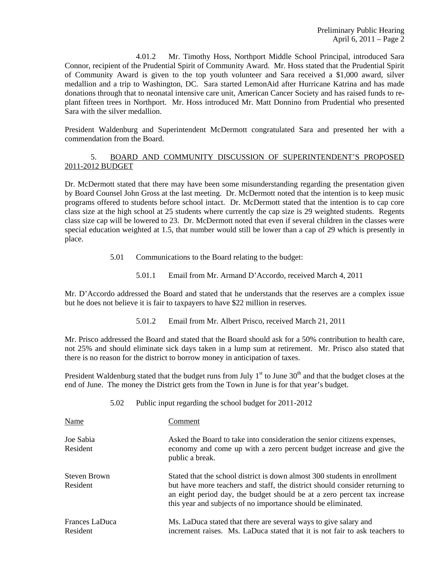4.01.2 Mr. Timothy Hoss, Northport Middle School Principal, introduced Sara Connor, recipient of the Prudential Spirit of Community Award. Mr. Hoss stated that the Prudential Spirit of Community Award is given to the top youth volunteer and Sara received a \$1,000 award, silver medallion and a trip to Washington, DC. Sara started LemonAid after Hurricane Katrina and has made donations through that to neonatal intensive care unit, American Cancer Society and has raised funds to replant fifteen trees in Northport. Mr. Hoss introduced Mr. Matt Donnino from Prudential who presented Sara with the silver medallion.

President Waldenburg and Superintendent McDermott congratulated Sara and presented her with a commendation from the Board.

# 5. BOARD AND COMMUNITY DISCUSSION OF SUPERINTENDENT'S PROPOSED 2011-2012 BUDGET

Dr. McDermott stated that there may have been some misunderstanding regarding the presentation given by Board Counsel John Gross at the last meeting. Dr. McDermott noted that the intention is to keep music programs offered to students before school intact. Dr. McDermott stated that the intention is to cap core class size at the high school at 25 students where currently the cap size is 29 weighted students. Regents class size cap will be lowered to 23. Dr. McDermott noted that even if several children in the classes were special education weighted at 1.5, that number would still be lower than a cap of 29 which is presently in place.

- 5.01 Communications to the Board relating to the budget:
	- 5.01.1 Email from Mr. Armand D'Accordo, received March 4, 2011

Mr. D'Accordo addressed the Board and stated that he understands that the reserves are a complex issue but he does not believe it is fair to taxpayers to have \$22 million in reserves.

5.01.2 Email from Mr. Albert Prisco, received March 21, 2011

Mr. Prisco addressed the Board and stated that the Board should ask for a 50% contribution to health care, not 25% and should eliminate sick days taken in a lump sum at retirement. Mr. Prisco also stated that there is no reason for the district to borrow money in anticipation of taxes.

President Waldenburg stated that the budget runs from July  $1<sup>st</sup>$  to June 30<sup>th</sup> and that the budget closes at the end of June. The money the District gets from the Town in June is for that year's budget.

|  | Public input regarding the school budget for 2011-2012 |
|--|--------------------------------------------------------|
|  |                                                        |

| Name                              | Comment                                                                                                                                                                                                                                                                                               |
|-----------------------------------|-------------------------------------------------------------------------------------------------------------------------------------------------------------------------------------------------------------------------------------------------------------------------------------------------------|
| Joe Sabia<br>Resident             | Asked the Board to take into consideration the senior citizens expenses,<br>economy and come up with a zero percent budget increase and give the<br>public a break.                                                                                                                                   |
| Steven Brown<br>Resident          | Stated that the school district is down almost 300 students in enrollment<br>but have more teachers and staff, the district should consider returning to<br>an eight period day, the budget should be at a zero percent tax increase<br>this year and subjects of no importance should be eliminated. |
| <b>Frances LaDuca</b><br>Resident | Ms. LaDuca stated that there are several ways to give salary and<br>increment raises. Ms. LaDuca stated that it is not fair to ask teachers to                                                                                                                                                        |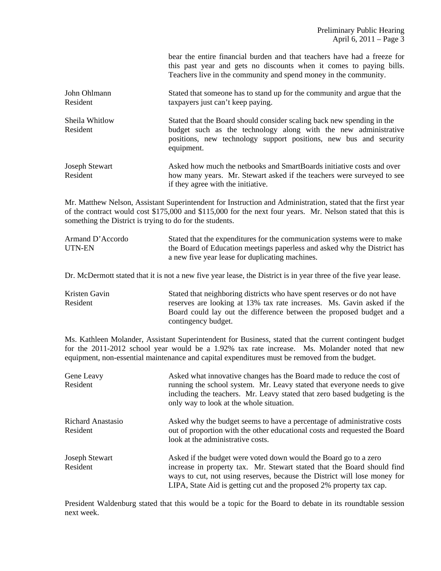|                                   | bear the entire financial burden and that teachers have had a freeze for<br>this past year and gets no discounts when it comes to paying bills.<br>Teachers live in the community and spend money in the community.          |
|-----------------------------------|------------------------------------------------------------------------------------------------------------------------------------------------------------------------------------------------------------------------------|
| John Ohlmann<br>Resident          | Stated that someone has to stand up for the community and argue that the<br>taxpayers just can't keep paying.                                                                                                                |
| Sheila Whitlow<br>Resident        | Stated that the Board should consider scaling back new spending in the<br>budget such as the technology along with the new administrative<br>positions, new technology support positions, new bus and security<br>equipment. |
| <b>Joseph Stewart</b><br>Resident | Asked how much the netbooks and SmartBoards initiative costs and over<br>how many years. Mr. Stewart asked if the teachers were surveyed to see<br>if they agree with the initiative.                                        |

Mr. Matthew Nelson, Assistant Superintendent for Instruction and Administration, stated that the first year of the contract would cost \$175,000 and \$115,000 for the next four years. Mr. Nelson stated that this is something the District is trying to do for the students.

| Armand D'Accordo | Stated that the expenditures for the communication systems were to make  |
|------------------|--------------------------------------------------------------------------|
| UTN-EN           | the Board of Education meetings paperless and asked why the District has |
|                  | a new five year lease for duplicating machines.                          |

Dr. McDermott stated that it is not a new five year lease, the District is in year three of the five year lease.

Kristen Gavin Stated that neighboring districts who have spent reserves or do not have Resident reserves are looking at 13% tax rate increases. Ms. Gavin asked if the Board could lay out the difference between the proposed budget and a contingency budget.

Ms. Kathleen Molander, Assistant Superintendent for Business, stated that the current contingent budget for the 2011-2012 school year would be a 1.92% tax rate increase. Ms. Molander noted that new equipment, non-essential maintenance and capital expenditures must be removed from the budget.

| Gene Leavy<br>Resident               | Asked what innovative changes has the Board made to reduce the cost of<br>running the school system. Mr. Leavy stated that everyone needs to give<br>including the teachers. Mr. Leavy stated that zero based budgeting is the<br>only way to look at the whole situation.                       |
|--------------------------------------|--------------------------------------------------------------------------------------------------------------------------------------------------------------------------------------------------------------------------------------------------------------------------------------------------|
| <b>Richard Anastasio</b><br>Resident | Asked why the budget seems to have a percentage of administrative costs<br>out of proportion with the other educational costs and requested the Board<br>look at the administrative costs.                                                                                                       |
| Joseph Stewart<br>Resident           | Asked if the budget were voted down would the Board go to a zero<br>increase in property tax. Mr. Stewart stated that the Board should find<br>ways to cut, not using reserves, because the District will lose money for<br>LIPA, State Aid is getting cut and the proposed 2% property tax cap. |

President Waldenburg stated that this would be a topic for the Board to debate in its roundtable session next week.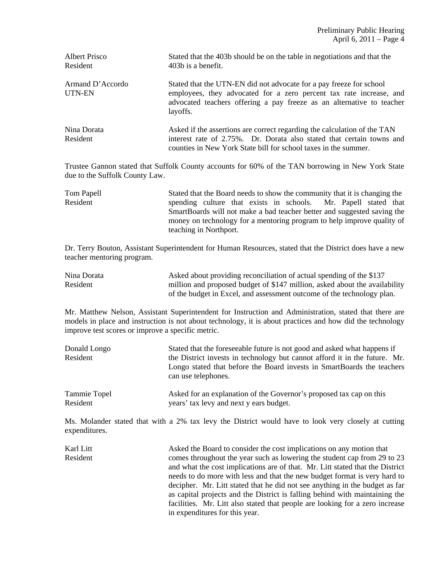| Albert Prisco<br>Resident  | Stated that the 403b should be on the table in negotiations and that the<br>403b is a benefit.                                                                                                                                  |
|----------------------------|---------------------------------------------------------------------------------------------------------------------------------------------------------------------------------------------------------------------------------|
| Armand D'Accordo<br>UTN-EN | Stated that the UTN-EN did not advocate for a pay freeze for school<br>employees, they advocated for a zero percent tax rate increase, and<br>advocated teachers offering a pay freeze as an alternative to teacher<br>layoffs. |
| Nina Dorata<br>Resident    | Asked if the assertions are correct regarding the calculation of the TAN<br>interest rate of 2.75%. Dr. Dorata also stated that certain towns and<br>counties in New York State bill for school taxes in the summer.            |

Trustee Gannon stated that Suffolk County accounts for 60% of the TAN borrowing in New York State due to the Suffolk County Law.

Tom Papell Stated that the Board needs to show the community that it is changing the Resident spending culture that exists in schools. Mr. Papell stated that SmartBoards will not make a bad teacher better and suggested saving the money on technology for a mentoring program to help improve quality of teaching in Northport.

Dr. Terry Bouton, Assistant Superintendent for Human Resources, stated that the District does have a new teacher mentoring program.

| Nina Dorata | Asked about providing reconciliation of actual spending of the \$137       |
|-------------|----------------------------------------------------------------------------|
| Resident    | million and proposed budget of \$147 million, asked about the availability |
|             | of the budget in Excel, and assessment outcome of the technology plan.     |

Mr. Matthew Nelson, Assistant Superintendent for Instruction and Administration, stated that there are models in place and instruction is not about technology, it is about practices and how did the technology improve test scores or improve a specific metric.

| Donald Longo<br>Resident | Stated that the foreseeable future is not good and asked what happens if<br>the District invests in technology but cannot afford it in the future. Mr.<br>Longo stated that before the Board invests in SmartBoards the teachers<br>can use telephones. |
|--------------------------|---------------------------------------------------------------------------------------------------------------------------------------------------------------------------------------------------------------------------------------------------------|
| Tammie Topel             | Asked for an explanation of the Governor's proposed tax cap on this                                                                                                                                                                                     |
| Resident                 | years' tax levy and next y ears budget.                                                                                                                                                                                                                 |

Ms. Molander stated that with a 2% tax levy the District would have to look very closely at cutting expenditures.

Karl Litt Asked the Board to consider the cost implications on any motion that Resident comes throughout the year such as lowering the student cap from 29 to 23 and what the cost implications are of that. Mr. Litt stated that the District needs to do more with less and that the new budget format is very hard to decipher. Mr. Litt stated that he did not see anything in the budget as far as capital projects and the District is falling behind with maintaining the facilities. Mr. Litt also stated that people are looking for a zero increase in expenditures for this year.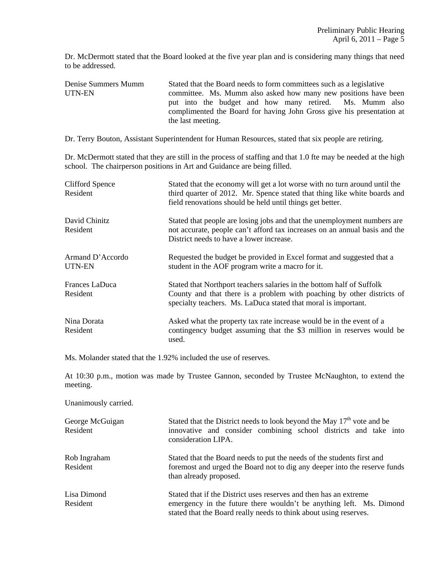Dr. McDermott stated that the Board looked at the five year plan and is considering many things that need to be addressed.

Denise Summers Mumm Stated that the Board needs to form committees such as a legislative UTN-EN committee. Ms. Mumm also asked how many new positions have been<br>put into the budget and how many retired. Ms. Mumm also put into the budget and how many retired. complimented the Board for having John Gross give his presentation at the last meeting.

Dr. Terry Bouton, Assistant Superintendent for Human Resources, stated that six people are retiring.

Dr. McDermott stated that they are still in the process of staffing and that 1.0 fte may be needed at the high school. The chairperson positions in Art and Guidance are being filled.

| <b>Clifford Spence</b><br>Resident | Stated that the economy will get a lot worse with no turn around until the<br>third quarter of 2012. Mr. Spence stated that thing like white boards and<br>field renovations should be held until things get better. |
|------------------------------------|----------------------------------------------------------------------------------------------------------------------------------------------------------------------------------------------------------------------|
| David Chinitz<br>Resident          | Stated that people are losing jobs and that the unemployment numbers are<br>not accurate, people can't afford tax increases on an annual basis and the<br>District needs to have a lower increase.                   |
| Armand D'Accordo<br>UTN-EN         | Requested the budget be provided in Excel format and suggested that a<br>student in the AOF program write a macro for it.                                                                                            |
| Frances LaDuca<br>Resident         | Stated that Northport teachers salaries in the bottom half of Suffolk<br>County and that there is a problem with poaching by other districts of<br>specialty teachers. Ms. LaDuca stated that moral is important.    |
| Nina Dorata<br>Resident            | Asked what the property tax rate increase would be in the event of a<br>contingency budget assuming that the \$3 million in reserves would be<br>used.                                                               |

Ms. Molander stated that the 1.92% included the use of reserves.

At 10:30 p.m., motion was made by Trustee Gannon, seconded by Trustee McNaughton, to extend the meeting.

Unanimously carried.

| George McGuigan<br>Resident | Stated that the District needs to look beyond the May $17th$ vote and be<br>innovative and consider combining school districts and take into<br>consideration LIPA.                                           |
|-----------------------------|---------------------------------------------------------------------------------------------------------------------------------------------------------------------------------------------------------------|
| Rob Ingraham<br>Resident    | Stated that the Board needs to put the needs of the students first and<br>foremost and urged the Board not to dig any deeper into the reserve funds<br>than already proposed.                                 |
| Lisa Dimond<br>Resident     | Stated that if the District uses reserves and then has an extreme<br>emergency in the future there wouldn't be anything left. Ms. Dimond<br>stated that the Board really needs to think about using reserves. |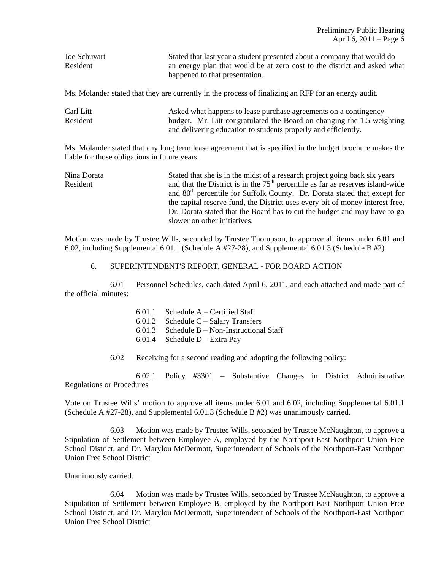| Joe Schuvart | Stated that last year a student presented about a company that would do  |
|--------------|--------------------------------------------------------------------------|
| Resident     | an energy plan that would be at zero cost to the district and asked what |
|              | happened to that presentation.                                           |

Ms. Molander stated that they are currently in the process of finalizing an RFP for an energy audit.

| Carl Litt | Asked what happens to lease purchase agreements on a contingency       |
|-----------|------------------------------------------------------------------------|
| Resident  | budget. Mr. Litt congratulated the Board on changing the 1.5 weighting |
|           | and delivering education to students properly and efficiently.         |

Ms. Molander stated that any long term lease agreement that is specified in the budget brochure makes the liable for those obligations in future years.

| Nina Dorata | Stated that she is in the midst of a research project going back six years            |
|-------------|---------------------------------------------------------------------------------------|
| Resident    | and that the District is in the $75th$ percentile as far as reserves island-wide      |
|             | and 80 <sup>th</sup> percentile for Suffolk County. Dr. Dorata stated that except for |
|             | the capital reserve fund, the District uses every bit of money interest free.         |
|             | Dr. Dorata stated that the Board has to cut the budget and may have to go             |
|             | slower on other initiatives.                                                          |

Motion was made by Trustee Wills, seconded by Trustee Thompson, to approve all items under 6.01 and 6.02, including Supplemental 6.01.1 (Schedule A #27-28), and Supplemental 6.01.3 (Schedule B #2)

#### 6. SUPERINTENDENT'S REPORT, GENERAL - FOR BOARD ACTION

 6.01 Personnel Schedules, each dated April 6, 2011, and each attached and made part of the official minutes:

- 6.01.1 Schedule A Certified Staff
- 6.01.2 Schedule C Salary Transfers
- 6.01.3 Schedule B Non-Instructional Staff
- 6.01.4 Schedule D Extra Pay
- 6.02 Receiving for a second reading and adopting the following policy:

 6.02.1 Policy #3301 – Substantive Changes in District Administrative Regulations or Procedures

Vote on Trustee Wills' motion to approve all items under 6.01 and 6.02, including Supplemental 6.01.1 (Schedule A #27-28), and Supplemental 6.01.3 (Schedule B #2) was unanimously carried.

 6.03 Motion was made by Trustee Wills, seconded by Trustee McNaughton, to approve a Stipulation of Settlement between Employee A, employed by the Northport-East Northport Union Free School District, and Dr. Marylou McDermott, Superintendent of Schools of the Northport-East Northport Union Free School District

Unanimously carried.

 6.04 Motion was made by Trustee Wills, seconded by Trustee McNaughton, to approve a Stipulation of Settlement between Employee B, employed by the Northport-East Northport Union Free School District, and Dr. Marylou McDermott, Superintendent of Schools of the Northport-East Northport Union Free School District